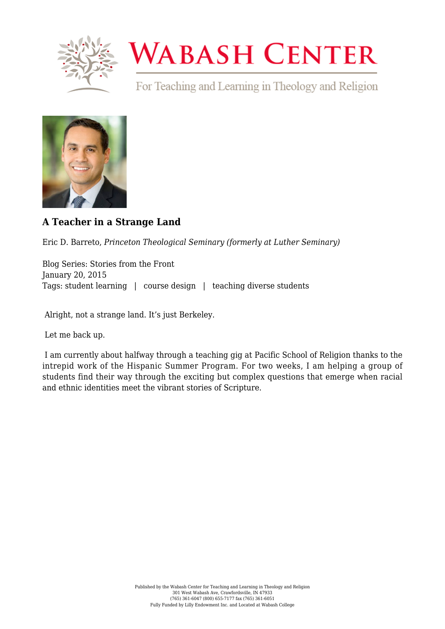

## **WABASH CENTER**

For Teaching and Learning in Theology and Religion



## **[A Teacher in a Strange Land](https://www.wabashcenter.wabash.edu/2015/01/a-teacher-in-a-strange-land/)**

Eric D. Barreto, *Princeton Theological Seminary (formerly at Luther Seminary)*

Blog Series: Stories from the Front January 20, 2015 Tags: student learning | course design | teaching diverse students

Alright, not a strange land. It's just Berkeley.

Let me back up.

 I am currently about halfway through a teaching gig at [Pacific School of Religion](http://www.psr.edu) thanks to the intrepid work of the [Hispanic Summer Program.](http://hispanicsummerprogram.org) For two weeks, I am helping a group of students find their way through the exciting but complex questions that emerge when racial and ethnic identities meet the vibrant stories of Scripture.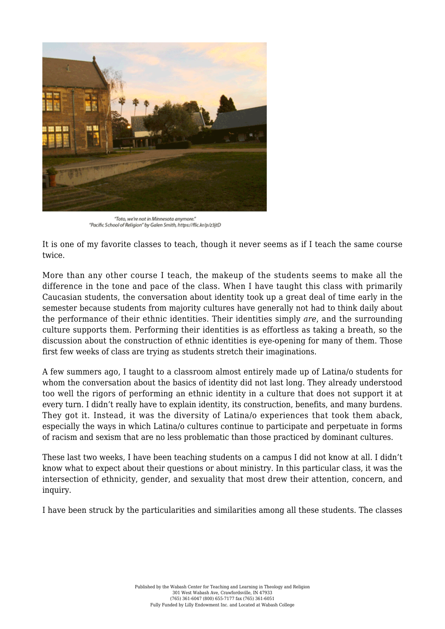

"Toto, we're not in Minnesota anymore." "Pacific School of Religion" by Galen Smith, https://flic.kr/p/z3jtD

It is one of my favorite classes to teach, though it never seems as if I teach the same course twice.

More than any other course I teach, the makeup of the students seems to make all the difference in the tone and pace of the class. When I have taught this class with primarily Caucasian students, the conversation about identity took up a great deal of time early in the semester because students from majority cultures have generally not had to think daily about the performance of their ethnic identities. Their identities simply *are*, and the surrounding culture supports them. Performing their identities is as effortless as taking a breath, so the discussion about the construction of ethnic identities is eye-opening for many of them. Those first few weeks of class are trying as students stretch their imaginations.

A few summers ago, I taught to a classroom almost entirely made up of Latina/o students for whom the conversation about the basics of identity did not last long. They already understood too well the rigors of performing an ethnic identity in a culture that does not support it at every turn. I didn't really have to explain identity, its construction, benefits, and many burdens. They got it. Instead, it was the diversity of Latina/o experiences that took them aback, especially the ways in which Latina/o cultures continue to participate and perpetuate in forms of racism and sexism that are no less problematic than those practiced by dominant cultures.

These last two weeks, I have been teaching students on a campus I did not know at all. I didn't know what to expect about their questions or about ministry. In this particular class, it was the intersection of ethnicity, gender, and sexuality that most drew their attention, concern, and inquiry.

I have been struck by the particularities and similarities among all these students. The classes